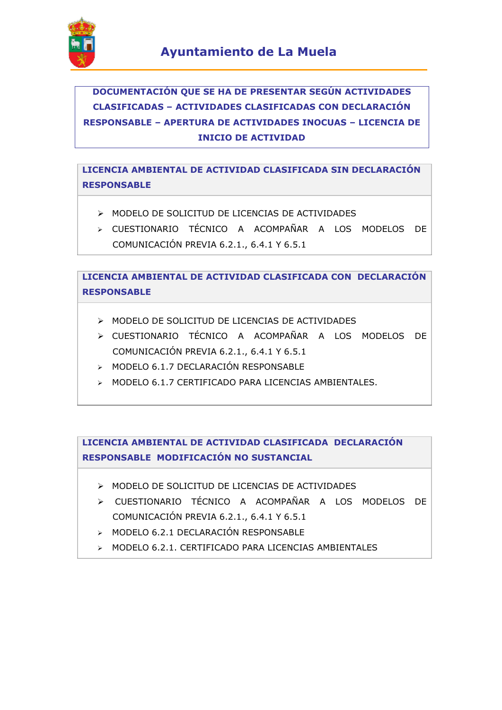

# **DOCUMENTACIÓN QUE SE HA DE PRESENTAR SEGÚN ACTIVIDADES CLASIFICADAS – ACTIVIDADES CLASIFICADAS CON DECLARACIÓN RESPONSABLE – APERTURA DE ACTIVIDADES INOCUAS – LICENCIA DE INICIO DE ACTIVIDAD**

**LICENCIA AMBIENTAL DE ACTIVIDAD CLASIFICADA SIN DECLARACIÓN RESPONSABLE**

- MODELO DE SOLICITUD DE LICENCIAS DE ACTIVIDADES
- CUESTIONARIO TÉCNICO A ACOMPAÑAR A LOS MODELOS DE COMUNICACIÓN PREVIA 6.2.1., 6.4.1 Y 6.5.1

**LICENCIA AMBIENTAL DE ACTIVIDAD CLASIFICADA CON DECLARACIÓN RESPONSABLE**

- MODELO DE SOLICITUD DE LICENCIAS DE ACTIVIDADES
- CUESTIONARIO TÉCNICO A ACOMPAÑAR A LOS MODELOS DE COMUNICACIÓN PREVIA 6.2.1., 6.4.1 Y 6.5.1
- MODELO 6.1.7 DECLARACIÓN RESPONSABLE
- > MODELO 6.1.7 CERTIFICADO PARA LICENCIAS AMBIENTALES.

**LICENCIA AMBIENTAL DE ACTIVIDAD CLASIFICADA DECLARACIÓN RESPONSABLE MODIFICACIÓN NO SUSTANCIAL**

- MODELO DE SOLICITUD DE LICENCIAS DE ACTIVIDADES
- CUESTIONARIO TÉCNICO A ACOMPAÑAR A LOS MODELOS DE COMUNICACIÓN PREVIA 6.2.1., 6.4.1 Y 6.5.1
- > MODELO 6.2.1 DECLARACIÓN RESPONSABLE
- MODELO 6.2.1. CERTIFICADO PARA LICENCIAS AMBIENTALES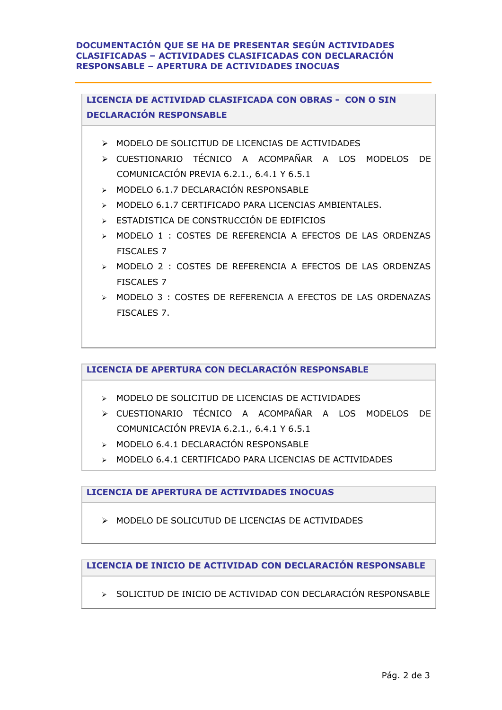#### **DOCUMENTACIÓN QUE SE HA DE PRESENTAR SEGÚN ACTIVIDADES CLASIFICADAS – ACTIVIDADES CLASIFICADAS CON DECLARACIÓN RESPONSABLE – APERTURA DE ACTIVIDADES INOCUAS**

**LICENCIA DE ACTIVIDAD CLASIFICADA CON OBRAS - CON O SIN DECLARACIÓN RESPONSABLE**

- MODELO DE SOLICITUD DE LICENCIAS DE ACTIVIDADES
- CUESTIONARIO TÉCNICO A ACOMPAÑAR A LOS MODELOS DE COMUNICACIÓN PREVIA 6.2.1., 6.4.1 Y 6.5.1
- > MODELO 6.1.7 DECLARACIÓN RESPONSABLE
- > MODELO 6.1.7 CERTIFICADO PARA LICENCIAS AMBIENTALES.
- ESTADISTICA DE CONSTRUCCIÓN DE EDIFICIOS
- MODELO 1 : COSTES DE REFERENCIA A EFECTOS DE LAS ORDENZAS FISCALES 7
- MODELO 2 : COSTES DE REFERENCIA A EFECTOS DE LAS ORDENZAS FISCALES 7
- MODELO 3 : COSTES DE REFERENCIA A EFECTOS DE LAS ORDENAZAS FISCALES 7.

**LICENCIA DE APERTURA CON DECLARACIÓN RESPONSABLE**

- MODELO DE SOLICITUD DE LICENCIAS DE ACTIVIDADES
- CUESTIONARIO TÉCNICO A ACOMPAÑAR A LOS MODELOS DE COMUNICACIÓN PREVIA 6.2.1., 6.4.1 Y 6.5.1
- > MODELO 6.4.1 DECLARACIÓN RESPONSABLE
- MODELO 6.4.1 CERTIFICADO PARA LICENCIAS DE ACTIVIDADES

**LICENCIA DE APERTURA DE ACTIVIDADES INOCUAS**

MODELO DE SOLICUTUD DE LICENCIAS DE ACTIVIDADES

**LICENCIA DE INICIO DE ACTIVIDAD CON DECLARACIÓN RESPONSABLE**

 $\triangleright$  SOLICITUD DE INICIO DE ACTIVIDAD CON DECLARACIÓN RESPONSABLE